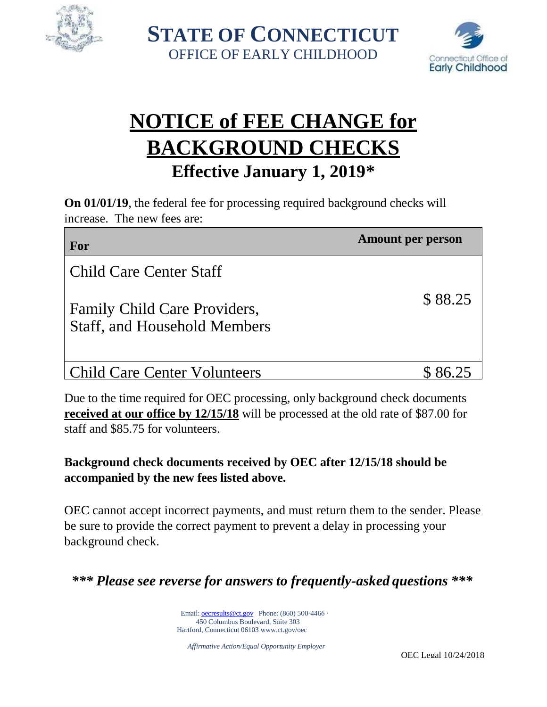

**STATE OF CONNECTICUT** OFFICE OF EARLY CHILDHOOD



# **NOTICE of FEE CHANGE for BACKGROUND CHECKS Effective January 1, 2019\***

**On 01/01/19**, the federal fee for processing required background checks will increase. The new fees are:

| For                                                                 | <b>Amount per person</b> |
|---------------------------------------------------------------------|--------------------------|
| Child Care Center Staff                                             |                          |
| Family Child Care Providers,<br><b>Staff, and Household Members</b> | \$88.25                  |
| <b>Child Care Center Volunteers</b>                                 |                          |

Due to the time required for OEC processing, only background check documents **received at our office by 12/15/18** will be processed at the old rate of \$87.00 for staff and \$85.75 for volunteers.

### **Background check documents received by OEC after 12/15/18 should be accompanied by the new fees listed above.**

OEC cannot accept incorrect payments, and must return them to the sender. Please be sure to provide the correct payment to prevent a delay in processing your background check.

*\*\*\* Please see reverse for answers to frequently-asked questions \*\*\**

Email[: oecresults@ct.gov](mailto:oecresults@ct.gov) Phone: (860) 500-4466 ∙ 450 Columbus Boulevard, Suite 303 Hartford, Connecticut 06103 [www.ct.gov/oec](http://www.ct.gov/oec)

*Affirmative Action/Equal Opportunity Employer*